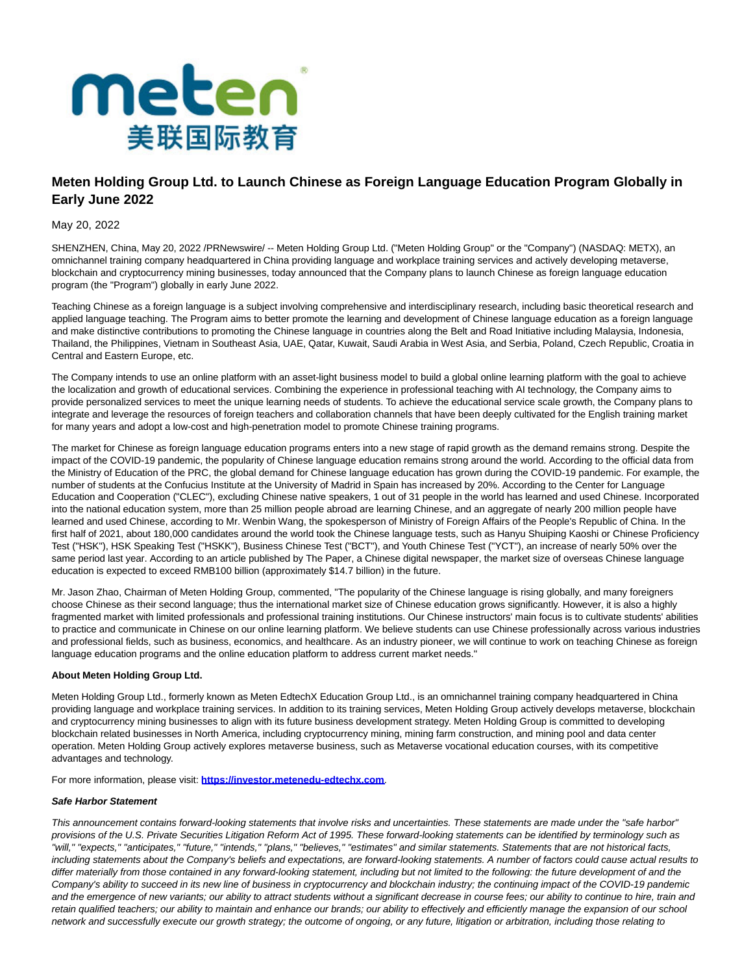

## **Meten Holding Group Ltd. to Launch Chinese as Foreign Language Education Program Globally in Early June 2022**

May 20, 2022

SHENZHEN, China, May 20, 2022 /PRNewswire/ -- Meten Holding Group Ltd. ("Meten Holding Group" or the "Company") (NASDAQ: METX), an omnichannel training company headquartered in China providing language and workplace training services and actively developing metaverse, blockchain and cryptocurrency mining businesses, today announced that the Company plans to launch Chinese as foreign language education program (the "Program") globally in early June 2022.

Teaching Chinese as a foreign language is a subject involving comprehensive and interdisciplinary research, including basic theoretical research and applied language teaching. The Program aims to better promote the learning and development of Chinese language education as a foreign language and make distinctive contributions to promoting the Chinese language in countries along the Belt and Road Initiative including Malaysia, Indonesia, Thailand, the Philippines, Vietnam in Southeast Asia, UAE, Qatar, Kuwait, Saudi Arabia in West Asia, and Serbia, Poland, Czech Republic, Croatia in Central and Eastern Europe, etc.

The Company intends to use an online platform with an asset-light business model to build a global online learning platform with the goal to achieve the localization and growth of educational services. Combining the experience in professional teaching with AI technology, the Company aims to provide personalized services to meet the unique learning needs of students. To achieve the educational service scale growth, the Company plans to integrate and leverage the resources of foreign teachers and collaboration channels that have been deeply cultivated for the English training market for many years and adopt a low-cost and high-penetration model to promote Chinese training programs.

The market for Chinese as foreign language education programs enters into a new stage of rapid growth as the demand remains strong. Despite the impact of the COVID-19 pandemic, the popularity of Chinese language education remains strong around the world. According to the official data from the Ministry of Education of the PRC, the global demand for Chinese language education has grown during the COVID-19 pandemic. For example, the number of students at the Confucius Institute at the University of Madrid in Spain has increased by 20%. According to the Center for Language Education and Cooperation ("CLEC"), excluding Chinese native speakers, 1 out of 31 people in the world has learned and used Chinese. Incorporated into the national education system, more than 25 million people abroad are learning Chinese, and an aggregate of nearly 200 million people have learned and used Chinese, according to Mr. Wenbin Wang, the spokesperson of Ministry of Foreign Affairs of the People's Republic of China. In the first half of 2021, about 180,000 candidates around the world took the Chinese language tests, such as Hanyu Shuiping Kaoshi or Chinese Proficiency Test ("HSK"), HSK Speaking Test ("HSKK"), Business Chinese Test ("BCT"), and Youth Chinese Test ("YCT"), an increase of nearly 50% over the same period last year. According to an article published by The Paper, a Chinese digital newspaper, the market size of overseas Chinese language education is expected to exceed RMB100 billion (approximately \$14.7 billion) in the future.

Mr. Jason Zhao, Chairman of Meten Holding Group, commented, "The popularity of the Chinese language is rising globally, and many foreigners choose Chinese as their second language; thus the international market size of Chinese education grows significantly. However, it is also a highly fragmented market with limited professionals and professional training institutions. Our Chinese instructors' main focus is to cultivate students' abilities to practice and communicate in Chinese on our online learning platform. We believe students can use Chinese professionally across various industries and professional fields, such as business, economics, and healthcare. As an industry pioneer, we will continue to work on teaching Chinese as foreign language education programs and the online education platform to address current market needs."

## **About Meten Holding Group Ltd.**

Meten Holding Group Ltd., formerly known as Meten EdtechX Education Group Ltd., is an omnichannel training company headquartered in China providing language and workplace training services. In addition to its training services, Meten Holding Group actively develops metaverse, blockchain and cryptocurrency mining businesses to align with its future business development strategy. Meten Holding Group is committed to developing blockchain related businesses in North America, including cryptocurrency mining, mining farm construction, and mining pool and data center operation. Meten Holding Group actively explores metaverse business, such as Metaverse vocational education courses, with its competitive advantages and technology.

For more information, please visit: **[https://investor.metenedu-edtechx.com](https://www.globenewswire.com/Tracker?data=ZI2B-AJrWQpCf9HjfBit1HmUlk2ESpW4EdkdW9lkE63u1bgYmV7OPtaIfegSHTYWhU0Y-mqr3DeS6U6o_Ujve5gpes5hEoKm0DtihhLD3e675NZ1ZWTyXD8TFi-9imoQ)**.

## **Safe Harbor Statement**

This announcement contains forward-looking statements that involve risks and uncertainties. These statements are made under the "safe harbor" provisions of the U.S. Private Securities Litigation Reform Act of 1995. These forward-looking statements can be identified by terminology such as "will," "expects," "anticipates," "future," "intends," "plans," "believes," "estimates" and similar statements. Statements that are not historical facts, including statements about the Company's beliefs and expectations, are forward-looking statements. A number of factors could cause actual results to differ materially from those contained in any forward-looking statement, including but not limited to the following: the future development of and the Company's ability to succeed in its new line of business in cryptocurrency and blockchain industry; the continuing impact of the COVID-19 pandemic and the emergence of new variants; our ability to attract students without a significant decrease in course fees; our ability to continue to hire, train and retain qualified teachers; our ability to maintain and enhance our brands; our ability to effectively and efficiently manage the expansion of our school network and successfully execute our growth strategy; the outcome of ongoing, or any future, litigation or arbitration, including those relating to